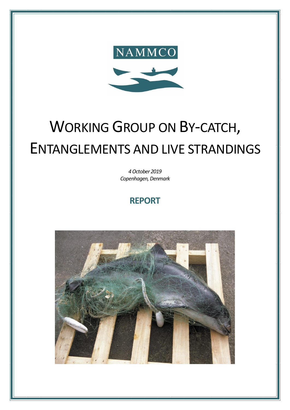

# WORKING GROUP ON BY-CATCH, ENTANGLEMENTS AND LIVE STRANDINGS

*4 October 2019 Copenhagen, Denmark*

## **REPORT**

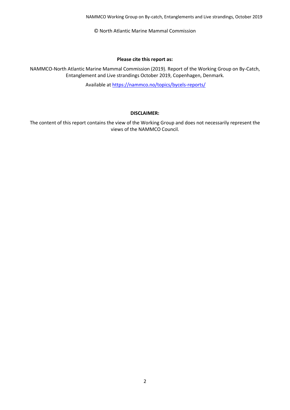NAMMCO Working Group on By-catch, Entanglements and Live strandings, October 2019

© North Atlantic Marine Mammal Commission

#### **Please cite this report as:**

NAMMCO-North Atlantic Marine Mammal Commission (2019). Report of the Working Group on By-Catch, Entanglement and Live strandings October 2019, Copenhagen, Denmark.

Available a[t https://nammco.no/topics/bycels-reports/](https://nammco.no/topics/bycels-reports/)

#### **DISCLAIMER:**

The content of this report contains the view of the Working Group and does not necessarily represent the views of the NAMMCO Council.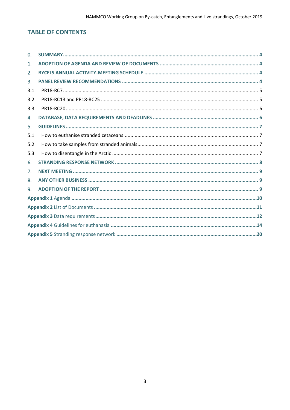## **TABLE OF CONTENTS**

| $\Omega$ . |  |
|------------|--|
| 1.         |  |
| 2.         |  |
| 3.         |  |
| 3.1        |  |
| 3.2        |  |
| 3.3        |  |
| 4.         |  |
| 5.         |  |
| 5.1        |  |
| 5.2        |  |
| 5.3        |  |
| 6.         |  |
| 7.         |  |
| 8.         |  |
| 9.         |  |
|            |  |
|            |  |
|            |  |
|            |  |
|            |  |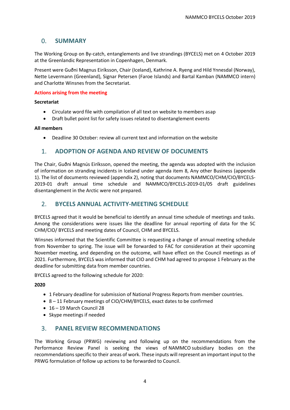## <span id="page-3-0"></span>0. **SUMMARY**

The Working Group on By-catch, entanglements and live strandings (BYCELS) met on 4 October 2019 at the Greenlandic Representation in Copenhagen, Denmark.

Present were Guðni Magnus Eiríksson, Chair (Iceland), Kathrine A. Ryeng and Hild Ynnesdal (Norway), Nette Levermann (Greenland), Signar Petersen (Faroe Islands) and Bartal Kamban (NAMMCO intern) and Charlotte Winsnes from the Secretariat.

#### **Actions arising from the meeting**

#### **Secretariat**

- Circulate word file with compilation of all text on website to members asap
- Draft bullet point list for safety issues related to disentanglement events

#### **All members**

• Deadline 30 October: review all current text and information on the website

## <span id="page-3-1"></span>1. **ADOPTION OF AGENDA AND REVIEW OF DOCUMENTS**

The Chair, Guðni Magnús Eiríksson, opened the meeting, the agenda was adopted with the inclusion of information on stranding incidents in Iceland under agenda item 8, Any other Business (appendix 1). The list of documents reviewed (appendix 2), noting that documents NAMMCO/CHM/CIO/BYCELS-2019-01 draft annual time schedule and NAMMCO/BYCELS-2019-01/05 draft guidelines disentanglement in the Arctic were not prepared.

## <span id="page-3-2"></span>2. **BYCELS ANNUAL ACTIVITY-MEETING SCHEDULE**

BYCELS agreed that it would be beneficial to identify an annual time schedule of meetings and tasks. Among the considerations were issues like the deadline for annual reporting of data for the SC CHM/CIO/ BYCELS and meeting dates of Council, CHM and BYCELS.

Winsnes informed that the Scientific Committee is requesting a change of annual meeting schedule from November to spring. The issue will be forwarded to FAC for consideration at their upcoming November meeting, and depending on the outcome, will have effect on the Council meetings as of 2021. Furthermore, BYCELS was informed that CIO and CHM had agreed to propose 1 February as the deadline for submitting data from member countries.

BYCELS agreed to the following schedule for 2020:

#### **2020**

- 1 February deadline for submission of National Progress Reports from member countries.
- 8 11 February meetings of CIO/CHM/BYCELS, exact dates to be confirmed
- 16 19 March Council 28
- Skype meetings if needed

## <span id="page-3-3"></span>3. **PANEL REVIEW RECOMMENDATIONS**

The Working Group (PRWG) reviewing and following up on the recommendations from the Performance Review Panel is seeking the views of NAMMCO subsidiary bodies on the recommendations specific to their areas of work. These inputs will represent an important input to the PRWG formulation of follow up actions to be forwarded to Council.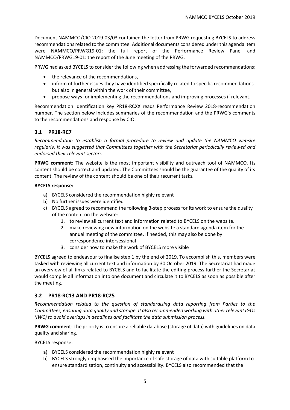Document NAMMCO/CIO-2019-03/03 contained the letter from PRWG requesting BYCELS to address recommendations related to the committee. Additional documents considered under this agenda item were NAMMCO/PRWG19-01: the full report of the Performance Review Panel and NAMMCO/PRWG19-01: the report of the June meeting of the PRWG.

PRWG had asked BYCELS to consider the following when addressing the forwarded recommendations:

- the relevance of the recommendations,
- inform of further issues they have identified specifically related to specific recommendations but also in general within the work of their committee,
- propose ways for implementing the recommendations and improving processes if relevant.

Recommendation identification key PR18-RCXX reads Performance Review 2018-recommendation number. The section below includes summaries of the recommendation and the PRWG's comments to the recommendations and response by CIO.

#### <span id="page-4-0"></span>**3.1 PR18-RC7**

*Recommendation to establish a formal procedure to review and update the NAMMCO website regularly. It was suggested that Committees together with the Secretariat periodically reviewed and endorsed their relevant sectors.* 

**PRWG comment:** The website is the most important visibility and outreach tool of NAMMCO. Its content should be correct and updated. The Committees should be the guarantee of the quality of its content. The review of the content should be one of their recurrent tasks.

#### **BYCELS response:**

- a) BYCELS considered the recommendation highly relevant
- b) No further issues were identified
- c) BYCELS agreed to recommend the following 3-step process for its work to ensure the quality of the content on the website:
	- 1. to review all current text and information related to BYCELS on the website.
	- 2. make reviewing new information on the website a standard agenda item for the annual meeting of the committee. If needed, this may also be done by correspondence intersessional
	- 3. consider how to make the work of BYCELS more visible

BYCELS agreed to endeavour to finalise step 1 by the end of 2019. To accomplish this, members were tasked with reviewing all current text and information by 30 October 2019. The Secretariat had made an overview of all links related to BYCELS and to facilitate the editing process further the Secretariat would compile all information into one document and circulate it to BYCELS as soon as possible after the meeting.

#### <span id="page-4-1"></span>**3.2 PR18-RC13 AND PR18-RC25**

*Recommendation related to the question of standardising data reporting from Parties to the Committees, ensuring data quality and storage. It also recommended working with other relevant IGOs (IWC) to avoid overlaps in deadlines and facilitate the data submission process.* 

**PRWG comment**: The priority is to ensure a reliable database (storage of data) with guidelines on data quality and sharing.

BYCELS response:

- a) BYCELS considered the recommendation highly relevant
- b) BYCELS strongly emphasised the importance of safe storage of data with suitable platform to ensure standardisation, continuity and accessibility. BYCELS also recommended that the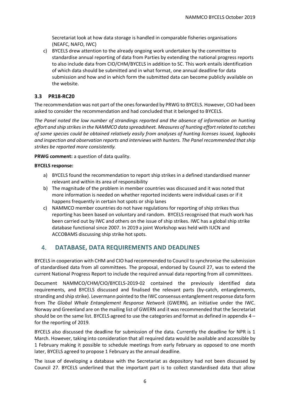Secretariat look at how data storage is handled in comparable fisheries organisations (NEAFC, NAFO, IWC)

c) BYCELS drew attention to the already ongoing work undertaken by the committee to standardise annual reporting of data from Parties by extending the national progress reports to also include data from CIO/CHM/BYCELS in addition to SC. This work entails identification of which data should be submitted and in what format, one annual deadline for data submission and how and in which form the submitted data can become publicly available on the website.

#### <span id="page-5-0"></span>**3.3 PR18-RC20**

The recommendation was not part of the ones forwarded by PRWG to BYCELS. However, CIO had been asked to consider the recommendation and had concluded that it belonged to BYCELS.

*The Panel noted the low number of strandings reported and the absence of information on hunting effort and ship strikes in the NAMMCO data spreadsheet. Measures of hunting effort related to catches of some species could be obtained relatively easily from analyses of hunting licenses issued, logbooks and inspection and observation reports and interviews with hunters. The Panel recommended that ship strikes be reported more consistently.*

**PRWG comment:** a question of data quality.

#### **BYCELS response:**

- a) BYCELS found the recommendation to report ship strikes in a defined standardised manner relevant and within its area of responsibility
- b) The magnitude of the problem in member countries was discussed and it was noted that more information is needed on whether reported incidents were individual cases or if it happens frequently in certain hot spots or ship lanes
- c) NAMMCO member countries do not have regulations for reporting of ship strikes thus reporting has been based on voluntary and random. BYCELS recognised that much work has been carried out by IWC and others on the issue of ship strikes. IWC has a global ship strike database functional since 2007. In 2019 a joint Workshop was held with IUCN and ACCOBAMS discussing ship strike hot spots.

## <span id="page-5-1"></span>4. **DATABASE, DATA REQUIREMENTS AND DEADLINES**

BYCELS in cooperation with CHM and CIO had recommended to Council to synchronise the submission of standardised data from all committees. The proposal, endorsed by Council 27, was to extend the current National Progress Report to include the required annual data reporting from all committees.

Document NAMMCO/CHM/CIO/BYCELS-2019-02 contained the previously identified data requirements, and BYCELS discussed and finalised the relevant parts (by-catch, entanglements, stranding and ship strike). Levermann pointed to the IWC consensus entanglement response data form from *The Global Whale Entanglement Response Network* (GWERN)*,* an initiative under the IWC. Norway and Greenland are on the mailing list of GWERN and it was recommended that the Secretariat should be on the same list. BYCELS agreed to use the categories and format as defined in appendix 4 – for the reporting of 2019.

BYCELS also discussed the deadline for submission of the data. Currently the deadline for NPR is 1 March. However, taking into consideration that all required data would be available and accessible by 1 February making it possible to schedule meetings from early February as opposed to one month later, BYCELS agreed to propose 1 February as the annual deadline.

The issue of developing a database with the Secretariat as depository had not been discussed by Council 27. BYCELS underlined that the important part is to collect standardised data that allow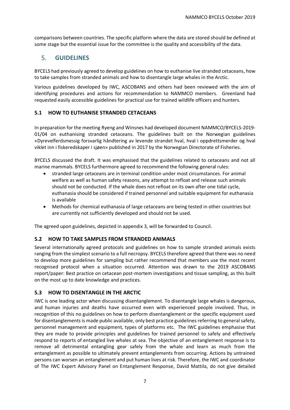comparisons between countries. The specific platform where the data are stored should be defined at some stage but the essential issue for the committee is the quality and accessibility of the data.

## <span id="page-6-0"></span>5. **GUIDELINES**

BYCELS had previously agreed to develop guidelines on how to euthanise live stranded cetaceans, how to take samples from stranded animals and how to disentangle large whales in the Arctic.

Various guidelines developed by IWC, ASCOBANS and others had been reviewed with the aim of identifying procedures and actions for recommendation to NAMMCO members. Greenland had requested easily accessible guidelines for practical use for trained wildlife officers and hunters.

#### <span id="page-6-1"></span>**5.1 HOW TO EUTHANISE STRANDED CETACEANS**

In preparation for the meeting Ryeng and Winsnes had developed document NAMMCO/BYCELS-2019- 01/04 on euthanising stranded cetaceans. The guidelines built on the Norwegian guidelines «Dyrevelferdsmessig forsvarlig håndtering av levende strandet hval, hval i oppdrettsmerder og hval viklet inn i fiskeredskaper i sjøen» published in 2017 by the Norwegian Directorate of Fisheries.

BYCELS discussed the draft. It was emphasised that the guidelines related to cetaceans and not all marine mammals. BYCELS furthermore agreed to recommend the following general rules:

- stranded large cetaceans are in terminal condition under most circumstances. For animal welfare as well as human safety reasons, any attempt to refloat and release such animals should not be conducted. If the whale does not refloat on its own after one tidal cycle, euthanasia should be considered if trained personnel and suitable equipment for euthanasia is available
- Methods for chemical euthanasia of large cetaceans are being tested in other countries but are currently not sufficiently developed and should not be used.

The agreed upon guidelines, depicted in appendix 3, will be forwarded to Council.

#### <span id="page-6-2"></span>**5.2 HOW TO TAKE SAMPLES FROM STRANDED ANIMALS**

Several internationally agreed protocols and guidelines on how to sample stranded animals exists ranging from the simplest scenario to a full necropsy. BYCELS therefore agreed that there was no need to develop more guidelines for sampling but rather recommend that members use the most recent recognised protocol when a situation occurred. Attention was drawn to the 2019 ASCOBANS report/paper: Best practice on cetacean post-mortem investigations and tissue sampling, as this built on the most up to date knowledge and practices.

#### <span id="page-6-3"></span>**5.3 HOW TO DISENTANGLE IN THE ARCTIC**

IWC is one leading actor when discussing disentanglement. To disentangle large whales is dangerous, and human injuries and deaths have occurred even with experienced people involved. Thus, in recognition of this no guidelines on how to perform disentanglement or the specific equipment used for disentanglements is made public available, only best practice guidelines referring to general safety, personnel management and equipment, types of platforms etc. The IWC guidelines emphasise that they are made to provide principles and guidelines for trained personnel to safely and effectively respond to reports of entangled live whales at sea. The objective of an entanglement response is to remove all detrimental entangling gear safely from the whale and learn as much from the entanglement as possible to ultimately prevent entanglements from occurring. Actions by untrained persons can worsen an entanglement and put human lives at risk. Therefore, the IWC and coordinator of The IWC Expert Advisory Panel on Entanglement Response, David Mattila, do not give detailed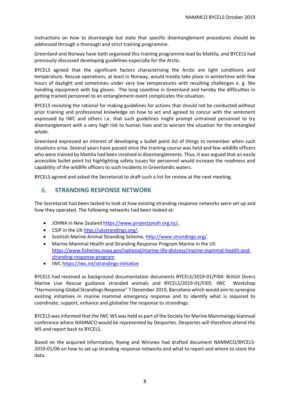instructions on how to disentangle but state that specific disentanglement procedures should be addressed through a thorough and strict training programme.

Greenland and Norway have both organised this training programme lead by Mattila, and BYCELS had previously discussed developing guidelines especially for the Arctic.

BYCELS agreed that the significant factors characterising the Arctic are light conditions and temperature. Rescue operations, at least in Norway, would mostly take place in wintertime with few hours of daylight and sometimes under very low temperatures with resulting challenges e. g. like handling equipment with big gloves. The long coastline in Greenland and hereby the difficulties in getting trained personnel to an entanglement event complicates the situation.

BYCELS revisiting the rational for making guidelines for actions that should not be conducted without prior training and professional knowledge on how to act and agreed to concur with the sentiment expressed by IWC and others i.e. that such guidelines might prompt untrained personnel to try disentanglement with a very high risk to human lives and to worsen the situation for the entangled whale.

Greenland expressed an interest of developing a bullet point list of things to remember when such situations arise. Several years have passed since the training course was held and few wildlife officers who were trained by Mattila had been involved in disentanglements. Thus, it was argued that an easily accessible bullet point list highlighting safety issues for personnel would increase the readiness and capability of the wildlife officers to such incidents in Greenlandic waters.

BYCELS agreed and asked the Secretariat to draft such a list for review at the next meeting.

## <span id="page-7-0"></span>6. **STRANDING RESPONSE NETWORK**

The Secretariat had been tasked to look at how existing stranding response networks were set up and how they operated. The following networks had been looked at:

- JOHNA in New Zealand [https://www.projectjonah.org.nz/,](https://www.projectjonah.org.nz/)
- CSIP in the UK [http://ukstrandings.org/,](http://ukstrandings.org/)
- Scottish Marine Animal Stranding Scheme, [http://www.strandings.org/.](http://www.strandings.org/)
- Marine Mammal Health and Stranding Response Program Marine in the US [https://www.fisheries.noaa.gov/national/marine-life-distress/marine-mammal-health-and](https://www.fisheries.noaa.gov/national/marine-life-distress/marine-mammal-health-and-stranding-response-program)[stranding-response-program](https://www.fisheries.noaa.gov/national/marine-life-distress/marine-mammal-health-and-stranding-response-program)
- IWC<https://iwc.int/strandings-initiative>

BYCELS had received as background documentation documents BYCELS/2019-01/FI04: British Divers Marine Live Rescue guidance stranded animals and BYCELS/2019-01/FI05: IWC Workshop "Harmonising Global Strandings Response" 7 December 2019, Barcelona which would aim to synergise existing initiatives in marine mammal emergency response and to identify what is required to coordinate, support, enhance and globalise the response to strandings.

BYCELS was informed that the IWC WS was held as part of the Society for Marine Mammalogy biannual conference where NAMMCO would be represented by Desportes. Desportes will therefore attend the WS and report back to BYCELS.

Based on the acquired information, Ryeng and Winsnes had drafted document NAMMCO/BYCELS-2019-01/06 on how to set up stranding response networks and what to report and where to store the data.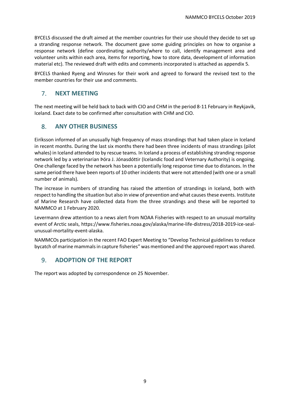BYCELS discussed the draft aimed at the member countries for their use should they decide to set up a stranding response network. The document gave some guiding principles on how to organise a response network (define coordinating authority/where to call, identify management area and volunteer units within each area, items for reporting, how to store data, development of information material etc). The reviewed draft with edits and comments incorporated is attached as appendix 5.

BYCELS thanked Ryeng and Winsnes for their work and agreed to forward the revised text to the member countries for their use and comments.

## <span id="page-8-0"></span>7. **NEXT MEETING**

The next meeting will be held back to back with CIO and CHM in the period 8-11 February in Reykjavik, Iceland. Exact date to be confirmed after consultation with CHM and CIO.

## <span id="page-8-1"></span>8. **ANY OTHER BUSINESS**

Eiríksson informed of an unusually high frequency of mass strandings that had taken place in Iceland in recent months. During the last six months there had been three incidents of mass strandings (pilot whales) in Iceland attended to by rescue teams. In Iceland a process of establishing stranding response network led by a veterinarian Þóra J. Jónasdóttir (Icelandic food and Veternary Authority) is ongoing. One challenge faced by the network has been a potentially long response time due to distances. In the same period there have been reports of 10 other incidents that were not attended (with one or a small number of animals).

The increase in numbers of stranding has raised the attention of strandings in Iceland, both with respect to handling the situation but also in view of prevention and what causes these events. Institute of Marine Research have collected data from the three strandings and these will be reported to NAMMCO at 1 February 2020.

Levermann drew attention to a news alert from NOAA Fisheries with respect to an unusual mortality event of Arctic seals, https://www.fisheries.noaa.gov/alaska/marine-life-distress/2018-2019-ice-sealunusual-mortality-event-alaska.

NAMMCOs participation in the recent FAO Expert Meeting to "Develop Technical guidelines to reduce bycatch of marine mammals in capture fisheries" was mentioned and the approved report was shared.

## <span id="page-8-2"></span>9. **ADOPTION OF THE REPORT**

The report was adopted by correspondence on 25 November.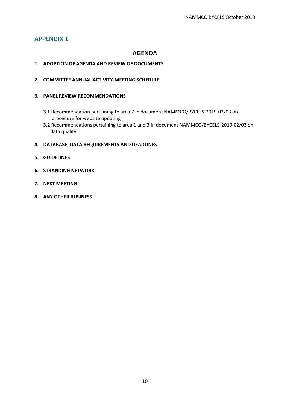## **AGENDA**

#### <span id="page-9-0"></span>**1. ADOPTION OF AGENDA AND REVIEW OF DOCUMENTS**

**2. COMMITTEE ANNUAL ACTIVITY-MEETING SCHEDULE**

#### **3. PANEL REVIEW RECOMMENDATIONS**

- **3.1** Recommendation pertaining to area 7 in document NAMMCO/BYCELS-2019-02/03 on procedure for website updating
- **3.2** Recommendations pertaining to area 1 and 3 in document NAMMCO/BYCELS-2019-02/03 on data quality

#### **4. DATABASE, DATA REQUIREMENTS AND DEADLINES**

- **5. GUIDELINES**
- **6. STRANDING NETWORK**
- **7. NEXT MEETING**
- **8. ANY OTHER BUSINESS**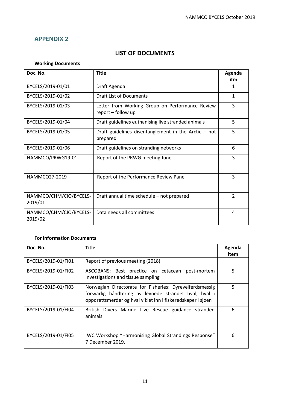## **LIST OF DOCUMENTS**

#### <span id="page-10-0"></span>**Working Documents**

| Doc. No.                          | <b>Title</b>                                                          | Agenda<br>itm  |
|-----------------------------------|-----------------------------------------------------------------------|----------------|
| BYCELS/2019-01/01                 | Draft Agenda                                                          | 1              |
| BYCELS/2019-01/02                 | Draft List of Documents                                               | $\mathbf{1}$   |
| BYCELS/2019-01/03                 | Letter from Working Group on Performance Review<br>report - follow up | 3              |
| BYCELS/2019-01/04                 | Draft guidelines euthanising live stranded animals                    | 5              |
| BYCELS/2019-01/05                 | Draft guidelines disentanglement in the Arctic $-$ not<br>prepared    | 5              |
| BYCELS/2019-01/06                 | Draft guidelines on stranding networks                                | 6              |
| NAMMCO/PRWG19-01                  | Report of the PRWG meeting June                                       | 3              |
| NAMMCO27-2019                     | Report of the Performance Review Panel                                | 3              |
| NAMMCO/CHM/CIO/BYCELS-<br>2019/01 | Draft annual time schedule - not prepared                             | $\overline{2}$ |
| NAMMCO/CHM/CIO/BYCELS-<br>2019/02 | Data needs all committees                                             | 4              |

#### **For Information Documents**

| Doc. No.            | <b>Title</b>                                                                                                                                                                     | Agenda<br>item |
|---------------------|----------------------------------------------------------------------------------------------------------------------------------------------------------------------------------|----------------|
| BYCELS/2019-01/FI01 | Report of previous meeting (2018)                                                                                                                                                |                |
| BYCELS/2019-01/FI02 | ASCOBANS: Best practice on cetacean<br>post-mortem<br>investigations and tissue sampling                                                                                         | 5              |
| BYCELS/2019-01/FI03 | Norwegian Directorate for Fisheries: Dyrevelferdsmessig<br>forsvarlig håndtering av levnede strandet hval, hval i<br>oppdrettsmerder og hval viklet inn i fiskeredskaper i sjøen | 5              |
| BYCELS/2019-01/FI04 | British Divers Marine Live Rescue guidance stranded<br>animals                                                                                                                   | 6              |
| BYCELS/2019-01/FI05 | IWC Workshop "Harmonising Global Strandings Response"<br>7 December 2019,                                                                                                        | 6              |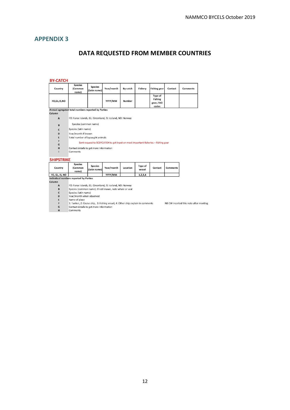## **DATA REQUESTED FROM MEMBER COUNTRIES**

NB CW incerted this note after meeting

#### <span id="page-11-0"></span>**BY-CATCH**

| Country        | <b>Species</b><br>(Common<br>name)                        | <b>Species</b><br>(latin name) | Year/month                                                                        | By-catch | Fishery | <b>Fishing gear</b>                             | Contact | <b>Comments</b> |
|----------------|-----------------------------------------------------------|--------------------------------|-----------------------------------------------------------------------------------|----------|---------|-------------------------------------------------|---------|-----------------|
| FO,GL, IS, NO  |                                                           |                                | YYYY/MM                                                                           | Number   |         | Type of<br><b>Fishing</b><br>gear, FAO<br>codes |         |                 |
|                | Annual agregated total numbers reported by Parties        |                                |                                                                                   |          |         |                                                 |         |                 |
| <b>Column</b>  |                                                           |                                |                                                                                   |          |         |                                                 |         |                 |
| $\overline{A}$ | FO: Faroe Islands, GL: Greenland, IS: Iceland, NO: Norway |                                |                                                                                   |          |         |                                                 |         |                 |
| $\overline{B}$ | Species (common name)                                     |                                |                                                                                   |          |         |                                                 |         |                 |
| $\mathbf c$    | Species (latin name)                                      |                                |                                                                                   |          |         |                                                 |         |                 |
| D              | Year/month if known                                       |                                |                                                                                   |          |         |                                                 |         |                 |
| E              | Total number of bycaught animals                          |                                |                                                                                   |          |         |                                                 |         |                 |
| F              |                                                           |                                |                                                                                   |          |         |                                                 |         |                 |
| G              |                                                           |                                | Sent request to SCBYCATCH to get input on most important fisheries + fishing gear |          |         |                                                 |         |                 |
| H              | Contact details to get more information                   |                                |                                                                                   |          |         |                                                 |         |                 |
|                | Comments                                                  |                                |                                                                                   |          |         |                                                 |         |                 |

#### **SHIPSTRIKE**

| Country        | <b>Species</b><br>(Common<br>name) | <b>Species</b><br>(latin name) | Year/month | Location | <b>Type of</b><br>vessel | Contact | Comments |  |
|----------------|------------------------------------|--------------------------------|------------|----------|--------------------------|---------|----------|--|
| FO. GL. IS. NO |                                    |                                | YYYY/MM    |          | 1, 2, 3, 4               |         |          |  |

Column

FO: Faroe Islands, GL: Greenland, IS: Iceland, NO: Norway<br>Species (common name). If not known, note whale or seal  $\begin{array}{c}\nA \\
B\n\end{array}$ 

Species (latin name)<br>Year/month when observed  $\mathbf{c}$ 

 $\overline{D}$ Name of place

 $\mathsf E$  $\mathbf{r}$ 

vanne or prace.<br>1: Tanker, 2: Cruise ship, 3: Fishing vessel, 4: Other ship explain in comments<br>Contact details to get more information  $\overline{G}$ 

 $\overline{H}$ Comments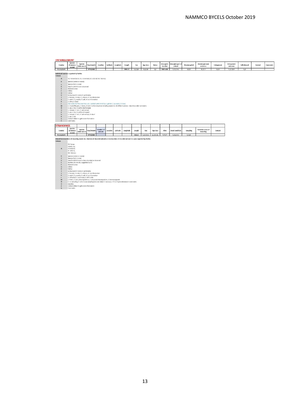| <b>ENTANGLEMENT</b>                                                                                                                                                  |                                                                      |                                                                                                       |                |                      |          |           |                                                                                                                             |         |             |               |                             |                                    |                      |                                   |            |                              |              |         |          |
|----------------------------------------------------------------------------------------------------------------------------------------------------------------------|----------------------------------------------------------------------|-------------------------------------------------------------------------------------------------------|----------------|----------------------|----------|-----------|-----------------------------------------------------------------------------------------------------------------------------|---------|-------------|---------------|-----------------------------|------------------------------------|----------------------|-----------------------------------|------------|------------------------------|--------------|---------|----------|
| Country                                                                                                                                                              | <b>Species</b><br>(Common)<br>name)                                  | Species<br>(latin name)                                                                               | Year/month     | Location             | Latitude | Longitude | Length                                                                                                                      | Sex     | Age class   | <b>Status</b> | <b>Entangled</b><br>by what | <b>Entangled part of</b><br>animal | <b>Disentangeled</b> | <b>Disentanglement</b><br>outcome | Entrapment | <b>Entrapment</b><br>outcome | Selfreieased | Contact | Comments |
| F0, GL, IS, NO                                                                                                                                                       |                                                                      |                                                                                                       | <b>YYYY/MM</b> |                      |          |           | MM.CC                                                                                                                       | 1,2,3,4 | 1,2,3,4     | 1,2           | FAO code                    | 1, 2, 3, 4                         | 1,2,3                | 1, 2, 3                           | 1,2,3      | 1, 2, 3, 4                   | 1,2          |         |          |
| Individual numbers reported by Parties<br>Column                                                                                                                     |                                                                      |                                                                                                       |                |                      |          |           |                                                                                                                             |         |             |               |                             |                                    |                      |                                   |            |                              |              |         |          |
| $\mathbf{A}$                                                                                                                                                         |                                                                      | FO: Faroelslands, GL: Greenland, IS: Iceland, NO: Norway                                              |                |                      |          |           |                                                                                                                             |         |             |               |                             |                                    |                      |                                   |            |                              |              |         |          |
| R                                                                                                                                                                    | Species (common name)                                                |                                                                                                       |                |                      |          |           |                                                                                                                             |         |             |               |                             |                                    |                      |                                   |            |                              |              |         |          |
|                                                                                                                                                                      | Species (latin name)                                                 |                                                                                                       |                |                      |          |           |                                                                                                                             |         |             |               |                             |                                    |                      |                                   |            |                              |              |         |          |
| $\mathbf{D}$                                                                                                                                                         | Year/month if known observed                                         |                                                                                                       |                |                      |          |           |                                                                                                                             |         |             |               |                             |                                    |                      |                                   |            |                              |              |         |          |
|                                                                                                                                                                      | Name of place                                                        |                                                                                                       |                |                      |          |           |                                                                                                                             |         |             |               |                             |                                    |                      |                                   |            |                              |              |         |          |
|                                                                                                                                                                      | Define                                                               |                                                                                                       |                |                      |          |           |                                                                                                                             |         |             |               |                             |                                    |                      |                                   |            |                              |              |         |          |
| G                                                                                                                                                                    | Define                                                               |                                                                                                       |                |                      |          |           |                                                                                                                             |         |             |               |                             |                                    |                      |                                   |            |                              |              |         |          |
| и                                                                                                                                                                    |                                                                      | Estimation M: metre C: centimetre<br>1: female, 2: male, 3: unkown, 4: no information                 |                |                      |          |           |                                                                                                                             |         |             |               |                             |                                    |                      |                                   |            |                              |              |         |          |
|                                                                                                                                                                      |                                                                      | 1: adult, 2: juvenile, 3: calf, 4: no information                                                     |                |                      |          |           |                                                                                                                             |         |             |               |                             |                                    |                      |                                   |            |                              |              |         |          |
|                                                                                                                                                                      | 1: ail ve, 2: dead                                                   |                                                                                                       |                |                      |          |           |                                                                                                                             |         |             |               |                             |                                    |                      |                                   |            |                              |              |         |          |
|                                                                                                                                                                      |                                                                      | FAO codes for the ones they use - confere with WHBYCA-1; gillnet, 2: purseine, 3: trawl,              |                |                      |          |           |                                                                                                                             |         |             |               |                             |                                    |                      |                                   |            |                              |              |         |          |
| M                                                                                                                                                                    |                                                                      |                                                                                                       |                |                      |          |           | 1: mouth/flippers, 2: body, 3: tail, 4: other situation including several or all of the 3 options - describe under comments |         |             |               |                             |                                    |                      |                                   |            |                              |              |         |          |
| $\overline{M}$                                                                                                                                                       |                                                                      | 1: yes, 2: no, 3: partly disentangled                                                                 |                |                      |          |           |                                                                                                                             |         |             |               |                             |                                    |                      |                                   |            |                              |              |         |          |
| $\Omega$                                                                                                                                                             |                                                                      | 1: relased, 2: lost, 3: euthanised                                                                    |                |                      |          |           |                                                                                                                             |         |             |               |                             |                                    |                      |                                   |            |                              |              |         |          |
| $\Omega$                                                                                                                                                             |                                                                      | 1: yes, 2: no, 3: partly entrapped<br>1: relased, 2: lost, 3: euthanised, 4: dead                     |                |                      |          |           |                                                                                                                             |         |             |               |                             |                                    |                      |                                   |            |                              |              |         |          |
|                                                                                                                                                                      | 1: yes, 2: no                                                        |                                                                                                       |                |                      |          |           |                                                                                                                             |         |             |               |                             |                                    |                      |                                   |            |                              |              |         |          |
| $\mathbf{R}$                                                                                                                                                         |                                                                      | Contact details to get more information                                                               |                |                      |          |           |                                                                                                                             |         |             |               |                             |                                    |                      |                                   |            |                              |              |         |          |
|                                                                                                                                                                      | Comments                                                             |                                                                                                       |                |                      |          |           |                                                                                                                             |         |             |               |                             |                                    |                      |                                   |            |                              |              |         |          |
| <b>STRANDINGS</b>                                                                                                                                                    |                                                                      |                                                                                                       |                |                      |          |           |                                                                                                                             |         |             |               |                             |                                    |                      |                                   |            |                              |              |         |          |
|                                                                                                                                                                      |                                                                      |                                                                                                       |                |                      |          |           |                                                                                                                             |         |             |               |                             |                                    |                      |                                   |            |                              |              |         |          |
| Country                                                                                                                                                              | <b>Species</b><br>(Common<br>name)                                   | <b>Species</b><br>(latin name)                                                                        | Year/Month     | Number of<br>animals | Location | Latitude  | Longitude                                                                                                                   | Length  | Sex         | Age class     | Alive                       | <b>Dead Condition</b>              | <b>Sampling</b>      | Tentative cause of<br>stranding   | Contact    |                              |              |         |          |
| FO, GL, IS, NO                                                                                                                                                       |                                                                      |                                                                                                       | YYYY/MM        |                      |          |           |                                                                                                                             | mm.cc   | 1, 2, 3, 4, | 1, 2, 3, 4,   | 1, 2, 3                     | 1, 2, 3, 4,                        | 1, 2, 3              |                                   |            |                              |              |         |          |
| Annual total numbers of stranding events inc. Number of stranded animals or total number of stranded animals in a year reported by Parties<br>Column<br>$\mathbf{A}$ | FO: Faroe<br>Islands, GL<br>Greenland,<br>IS: Iceland,<br>NO: Norway |                                                                                                       |                |                      |          |           |                                                                                                                             |         |             |               |                             |                                    |                      |                                   |            |                              |              |         |          |
| $\mathbf{R}$                                                                                                                                                         | Species (common name)                                                |                                                                                                       |                |                      |          |           |                                                                                                                             |         |             |               |                             |                                    |                      |                                   |            |                              |              |         |          |
| c                                                                                                                                                                    | Species (latin name)                                                 |                                                                                                       |                |                      |          |           |                                                                                                                             |         |             |               |                             |                                    |                      |                                   |            |                              |              |         |          |
| $\mathbf{D}$                                                                                                                                                         |                                                                      | Year/month if known when stranded or observed                                                         |                |                      |          |           |                                                                                                                             |         |             |               |                             |                                    |                      |                                   |            |                              |              |         |          |
| F                                                                                                                                                                    |                                                                      | Number of animals, suggested by SC                                                                    |                |                      |          |           |                                                                                                                             |         |             |               |                             |                                    |                      |                                   |            |                              |              |         |          |
|                                                                                                                                                                      | Name of place                                                        |                                                                                                       |                |                      |          |           |                                                                                                                             |         |             |               |                             |                                    |                      |                                   |            |                              |              |         |          |
| G                                                                                                                                                                    | Define                                                               |                                                                                                       |                |                      |          |           |                                                                                                                             |         |             |               |                             |                                    |                      |                                   |            |                              |              |         |          |
|                                                                                                                                                                      | Define                                                               |                                                                                                       |                |                      |          |           |                                                                                                                             |         |             |               |                             |                                    |                      |                                   |            |                              |              |         |          |
|                                                                                                                                                                      |                                                                      | Estimation M: metre C: centimetre                                                                     |                |                      |          |           |                                                                                                                             |         |             |               |                             |                                    |                      |                                   |            |                              |              |         |          |
|                                                                                                                                                                      |                                                                      | 1: female, 2: male, 3: unkown, 4: no information<br>1: adult, 2: juvenile, 3: calf, 4: no information |                |                      |          |           |                                                                                                                             |         |             |               |                             |                                    |                      |                                   |            |                              |              |         |          |
|                                                                                                                                                                      |                                                                      | 1: refloated, 2: eutanised, 3: left to die                                                            |                |                      |          |           |                                                                                                                             |         |             |               |                             |                                    |                      |                                   |            |                              |              |         |          |
| M                                                                                                                                                                    |                                                                      | 1: fresh, 2: early decomposition, 3: advanced decompostion, 4: bones exposed                          |                |                      |          |           |                                                                                                                             |         |             |               |                             |                                    |                      |                                   |            |                              |              |         |          |
| $\overline{\mathbf{M}}$                                                                                                                                              |                                                                      |                                                                                                       |                |                      |          |           | 1: no sampling, 2: only tissue sampling/pictures taken 3: necropsy - if 2 or 3 give reference in comments                   |         |             |               |                             |                                    |                      |                                   |            |                              |              |         |          |

**14** L. Ho sampling, 2: Unit Ussue sampling pit<br> **0** Describe<br> **19** Contact details to get more information<br> **0** Comments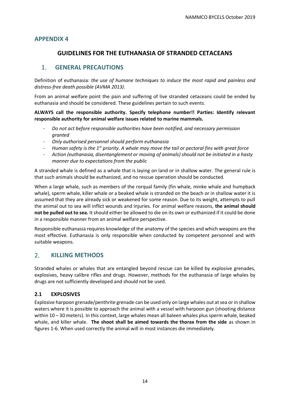## <span id="page-13-0"></span>**GUIDELINES FOR THE EUTHANASIA OF STRANDED CETACEANS**

## 1. **GENERAL PRECAUTIONS**

Definition of euthanasia: *the use of humane techniques to induce the most rapid and painless and distress-free death possible (AVMA 2013)*.

From an animal welfare point the pain and suffering of live stranded cetaceans could be ended by euthanasia and should be considered. These guidelines pertain to such events.

**ALWAYS call the responsible authority. Specify telephone number!! Parties: Identify relevant responsible authority for animal welfare issues related to marine mammals.**

- *Do not act before responsible authorities have been notified, and necessary permission granted*
- *Only authorised personnel should perform euthanasia*
- *Human safety is the 1st priority. A whale may move the tail or pectoral fins with great force*
- *Action (euthanasia, disentanglement or moving of animals) should not be initiated in a hasty manner due to expectations from the public*

A stranded whale is defined as a whale that is laying on land or in shallow water. The general rule is that such animals should be euthanized, and no rescue operation should be conducted.

When a large whale, such as members of the rorqual family (fin whale, minke whale and humpback whale), sperm whale, killer whale or a beaked whale is stranded on the beach or in shallow water it is assumed that they are already sick or weakened for some reason. Due to its weight, attempts to pull the animal out to sea will inflict wounds and injuries. For animal welfare reasons, **the animal should not be pulled out to sea.** It should either be allowed to die on its own or euthanized if it could be done in a responsible manner from an animal welfare perspective.

Responsible euthanasia requires knowledge of the anatomy of the species and which weapons are the most effective. Euthanasia is only responsible when conducted by competent personnel and with suitable weapons.

## 2. **KILLING METHODS**

Stranded whales or whales that are entangled beyond rescue can be killed by explosive grenades, explosives, heavy calibre rifles and drugs. However, methods for the euthanasia of large whales by drugs are not sufficiently developed and should not be used.

#### **2.1 EXPLOSIVES**

Explosive harpoon grenade/penthrite grenade can be used only on large whales out at sea or in shallow waters where it is possible to approach the animal with a vessel with harpoon gun (shooting distance within 10 – 30 meters). In this context, large whales mean all baleen whales plus sperm whale, beaked whale, and killer whale. **The shoot shall be aimed towards the thorax from the side** as shown in figures 1-6. When used correctly the animal will in most instances die immediately.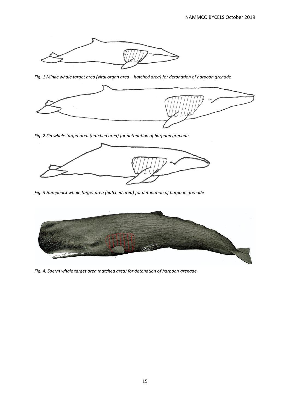

*Fig. 1 Minke whale target area (vital organ area – hatched area) for detonation of harpoon grenade*



*Fig. 2 Fin whale target area (hatched area) for detonation of harpoon grenade*



*Fig. 3 Humpback whale target area (hatched area) for detonation of harpoon grenade*



*Fig. 4. Sperm whale target area (hatched area) for detonation of harpoon grenade.*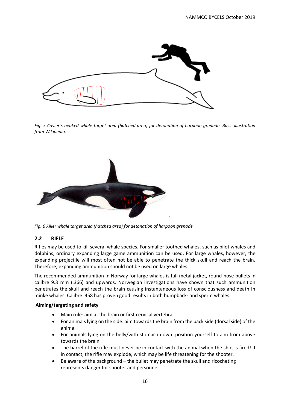

*Fig. 5 Cuvier´s beaked whale target area (hatched area) for detonation of harpoon grenade. Basic illustration from Wikipedia.*



*Fig. 6 Killer whale target area (hatched area) for detonation of harpoon grenade*

#### **2.2 RIFLE**

Rifles may be used to kill several whale species. For smaller toothed whales, such as pilot whales and dolphins, ordinary expanding large game ammunition can be used. For large whales, however, the expanding projectile will most often not be able to penetrate the thick skull and reach the brain. Therefore, expanding ammunition should not be used on large whales.

The recommended ammunition in Norway for large whales is full metal jacket, round-nose bullets in calibre 9.3 mm (.366) and upwards. Norwegian investigations have shown that such ammunition penetrates the skull and reach the brain causing instantaneous loss of consciousness and death in minke whales. Calibre .458 has proven good results in both humpback- and sperm whales.

#### **Aiming/targeting and safety**

- Main rule: aim at the brain or first cervical vertebra
- For animals lying on the side: aim towards the brain from the back side (dorsal side) of the animal
- For animals lying on the belly/with stomach down: position yourself to aim from above towards the brain
- The barrel of the rifle must never be in contact with the animal when the shot is fired! If in contact, the rifle may explode, which may be life threatening for the shooter.
- Be aware of the background the bullet may penetrate the skull and ricocheting represents danger for shooter and personnel.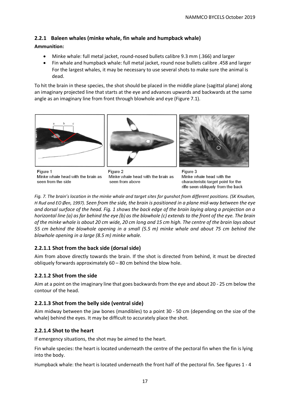## **2.2.1 Baleen whales (minke whale, fin whale and humpback whale)**

#### **Ammunition:**

- Minke whale: full metal jacket, round-nosed bullets calibre 9.3 mm (.366) and larger
- Fin whale and humpback whale: full metal jacket, round nose bullets calibre .458 and larger For the largest whales, it may be necessary to use several shots to make sure the animal is dead.

To hit the brain in these species, the shot should be placed in the middle plane (sagittal plane) along an imaginary projected line that starts at the eye and advances upwards and backwards at the same angle as an imaginary line from front through blowhole and eye (Figure 7.1).







Figure 1 Minke whale head with the brain as seen from the side

Figure 2 Minke whale head with the brain as seen from above

Figure 3 Minke whale head with the characteristic target point for the rifle seen obliquely from the back

*Fig. 7. The brain's location in the minke whale and target sites for gunshot from different positions. (SK Knudsen, H Rud and EO Øen, 1997). Seen from the side, the brain is positioned in a plane mid-way between the eye and dorsal surface of the head. Fig. 1 shows the back edge of the brain laying along a projection on a horizontal line (a) as far behind the eye (b) as the blowhole (c) extends to the front of the eye. The brain of the minke whale is about 20 cm wide, 20 cm long and 15 cm high. The centre of the brain lays about 55 cm behind the blowhole opening in a small (5.5 m) minke whale and about 75 cm behind the blowhole opening in a large (8.5 m) minke whale.*

## **2.2.1.1 Shot from the back side (dorsal side)**

Aim from above directly towards the brain. If the shot is directed from behind, it must be directed obliquely forwards approximately 60 – 80 cm behind the blow hole.

## **2.2.1.2 Shot from the side**

Aim at a point on the imaginary line that goes backwards from the eye and about 20 - 25 cm below the contour of the head.

## **2.2.1.3 Shot from the belly side (ventral side)**

Aim midway between the jaw bones (mandibles) to a point 30 - 50 cm (depending on the size of the whale) behind the eyes. It may be difficult to accurately place the shot.

## **2.2.1.4 Shot to the heart**

If emergency situations, the shot may be aimed to the heart.

Fin whale species: the heart is located underneath the centre of the pectoral fin when the fin is lying into the body.

Humpback whale: the heart is located underneath the front half of the pectoral fin. See figures 1 - 4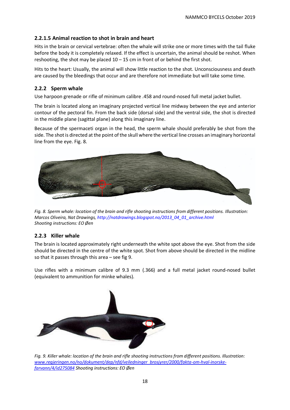## **2.2.1.5 Animal reaction to shot in brain and heart**

Hits in the brain or cervical vertebrae: often the whale will strike one or more times with the tail fluke before the body it is completely relaxed. If the effect is uncertain, the animal should be reshot. When reshooting, the shot may be placed  $10 - 15$  cm in front of or behind the first shot.

Hits to the heart: Usually, the animal will show little reaction to the shot. Unconsciousness and death are caused by the bleedings that occur and are therefore not immediate but will take some time.

#### **2.2.2 Sperm whale**

Use harpoon grenade or rifle of minimum calibre .458 and round-nosed full metal jacket bullet.

The brain is located along an imaginary projected vertical line midway between the eye and anterior contour of the pectoral fin. From the back side (dorsal side) and the ventral side, the shot is directed in the middle plane (sagittal plane) along this imaginary line.

Because of the spermaceti organ in the head, the sperm whale should preferably be shot from the side. The shot is directed at the point of the skull where the vertical line crosses an imaginary horizontal line from the eye. Fig. 8.



*Fig. 8. Sperm whale: location of the brain and rifle shooting instructions from different positions. Illustration: Marcos Oliveira, Nat Drawings, http://natdrawings.blogspot.no/2013\_04\_01\_archive.html Shooting instructions: EO Øen*

#### **2.2.3 Killer whale**

The brain is located approximately right underneath the white spot above the eye. Shot from the side should be directed in the centre of the white spot. Shot from above should be directed in the midline so that it passes through this area – see fig 9.

Use rifles with a minimum calibre of 9.3 mm (.366) and a full metal jacket round-nosed bullet (equivalent to ammunition for minke whales).



*Fig. 9. Killer whale: location of the brain and rifle shooting instructions from different positions. Illustration: [www.regjeringen.no/no/dokument/dep/nfd/veiledninger\\_brosjyrer/2000/fakta-om-hval-inorske](http://www.regjeringen.no/no/dokument/dep/nfd/veiledninger_brosjyrer/2000/fakta-om-hval-inorske-farvann/4/id275084)[farvann/4/id275084](http://www.regjeringen.no/no/dokument/dep/nfd/veiledninger_brosjyrer/2000/fakta-om-hval-inorske-farvann/4/id275084) Shooting instructions: EO Øen*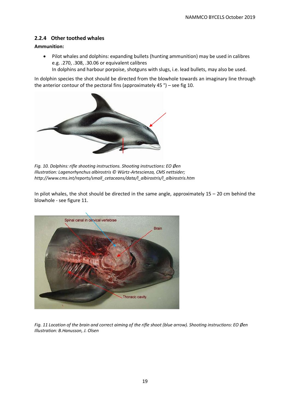## **2.2.4 Other toothed whales**

#### **Ammunition:**

• Pilot whales and dolphins: expanding bullets (hunting ammunition) may be used in calibres e.g. .270, .308, .30.06 or equivalent calibres

In dolphins and harbour porpoise, shotguns with slugs, i.e. lead bullets, may also be used.

In dolphin species the shot should be directed from the blowhole towards an imaginary line through the anterior contour of the pectoral fins (approximately 45 °) – see fig 10.



*Fig. 10. Dolphins: rifle shooting instructions. Shooting instructions: EO Øen Illustration: Lagenorhynchus albirostris © Würtz-Artescienza, CMS nettsider; http://www.cms.int/reports/small\_cetaceans/data/l\_albirostris/l\_albirostris.htm* 

In pilot whales, the shot should be directed in the same angle, approximately  $15 - 20$  cm behind the blowhole - see figure 11.



*Fig. 11 Location of the brain and correct aiming of the rifle shoot (blue arrow). Shooting instructions: EO Øen Illustration: B.Hanusson, J. Olsen*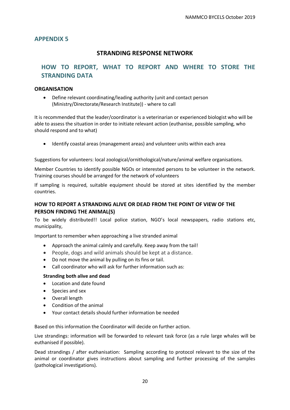## **STRANDING RESPONSE NETWORK**

## <span id="page-19-0"></span>**HOW TO REPORT, WHAT TO REPORT AND WHERE TO STORE THE STRANDING DATA**

#### **ORGANISATION**

• Define relevant coordinating/leading authority (unit and contact person (Ministry/Directorate/Research Institute)) - where to call

It is recommended that the leader/coordinator is a veterinarian or experienced biologist who will be able to assess the situation in order to initiate relevant action (euthanise, possible sampling, who should respond and to what)

• Identify coastal areas (management areas) and volunteer units within each area

Suggestions for volunteers: local zoological/ornithological/nature/animal welfare organisations.

Member Countries to identify possible NGOs or interested persons to be volunteer in the network. Training courses should be arranged for the network of volunteers

If sampling is required, suitable equipment should be stored at sites identified by the member countries.

## **HOW TO REPORT A STRANDING ALIVE OR DEAD FROM THE POINT OF VIEW OF THE PERSON FINDING THE ANIMAL(S)**

To be widely distributed!! Local police station, NGO's local newspapers, radio stations etc, municipality,

Important to remember when approaching a live stranded animal

- Approach the animal calmly and carefully. Keep away from the tail!
- People, dogs and wild animals should be kept at a distance.
- Do not move the animal by pulling on its fins or tail.
- Call coordinator who will ask for further information such as:

#### **Stranding both alive and dead**

- Location and date found
- Species and sex
- Overall length
- Condition of the animal
- Your contact details should further information be needed

Based on this information the Coordinator will decide on further action.

Live strandings: information will be forwarded to relevant task force (as a rule large whales will be euthanised if possible).

Dead strandings / after euthanisation: Sampling according to protocol relevant to the size of the animal or coordinator gives instructions about sampling and further processing of the samples (pathological investigations).